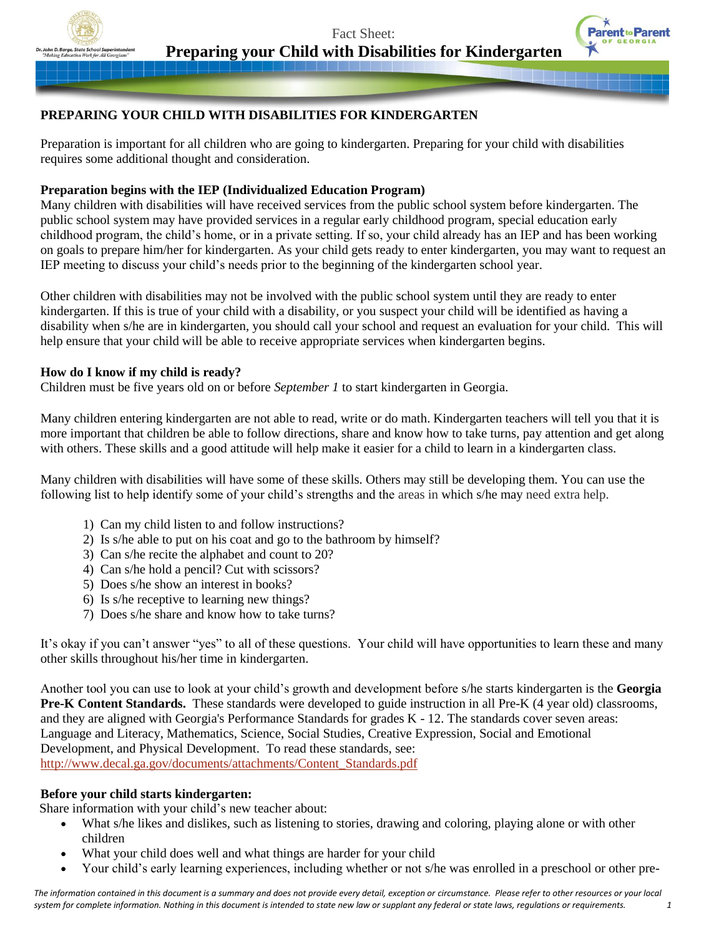

Fact Sheet: **Preparing your Child with Disabilities for Kindergarten**



# **PREPARING YOUR CHILD WITH DISABILITIES FOR KINDERGARTEN**

Preparation is important for all children who are going to kindergarten. Preparing for your child with disabilities requires some additional thought and consideration.

#### **Preparation begins with the IEP (Individualized Education Program)**

Many children with disabilities will have received services from the public school system before kindergarten. The public school system may have provided services in a regular early childhood program, special education early childhood program, the child's home, or in a private setting. If so, your child already has an IEP and has been working on goals to prepare him/her for kindergarten. As your child gets ready to enter kindergarten, you may want to request an IEP meeting to discuss your child's needs prior to the beginning of the kindergarten school year.

Other children with disabilities may not be involved with the public school system until they are ready to enter kindergarten. If this is true of your child with a disability, or you suspect your child will be identified as having a disability when s/he are in kindergarten, you should call your school and request an evaluation for your child. This will help ensure that your child will be able to receive appropriate services when kindergarten begins.

#### **How do I know if my child is ready?**

Children must be five years old on or before *September 1* to start kindergarten in Georgia.

Many children entering kindergarten are not able to read, write or do math. Kindergarten teachers will tell you that it is more important that children be able to follow directions, share and know how to take turns, pay attention and get along with others. These skills and a good attitude will help make it easier for a child to learn in a kindergarten class.

Many children with disabilities will have some of these skills. Others may still be developing them. You can use the following list to help identify some of your child's strengths and the areas in which s/he may need extra help.

- 1) Can my child listen to and follow instructions?
- 2) Is s/he able to put on his coat and go to the bathroom by himself?
- 3) Can s/he recite the alphabet and count to 20?
- 4) Can s/he hold a pencil? Cut with scissors?
- 5) Does s/he show an interest in books?
- 6) Is s/he receptive to learning new things?
- 7) Does s/he share and know how to take turns?

It's okay if you can't answer "yes" to all of these questions. Your child will have opportunities to learn these and many other skills throughout his/her time in kindergarten.

Another tool you can use to look at your child's growth and development before s/he starts kindergarten is the **Georgia Pre-K Content Standards.** These standards were developed to guide instruction in all Pre-K (4 year old) classrooms, and they are aligned with Georgia's Performance Standards for grades K - 12. The standards cover seven areas: Language and Literacy, Mathematics, Science, Social Studies, Creative Expression, Social and Emotional Development, and Physical Development. To read these standards, see: [http://www.decal.ga.gov/documents/attachments/Content\\_Standards.pdf](http://www.decal.ga.gov/documents/attachments/Content_Standards.pdf)

#### **Before your child starts kindergarten:**

Share information with your child's new teacher about:

- What s/he likes and dislikes, such as listening to stories, drawing and coloring, playing alone or with other children
- What your child does well and what things are harder for your child
- Your child's early learning experiences, including whether or not s/he was enrolled in a preschool or other pre-